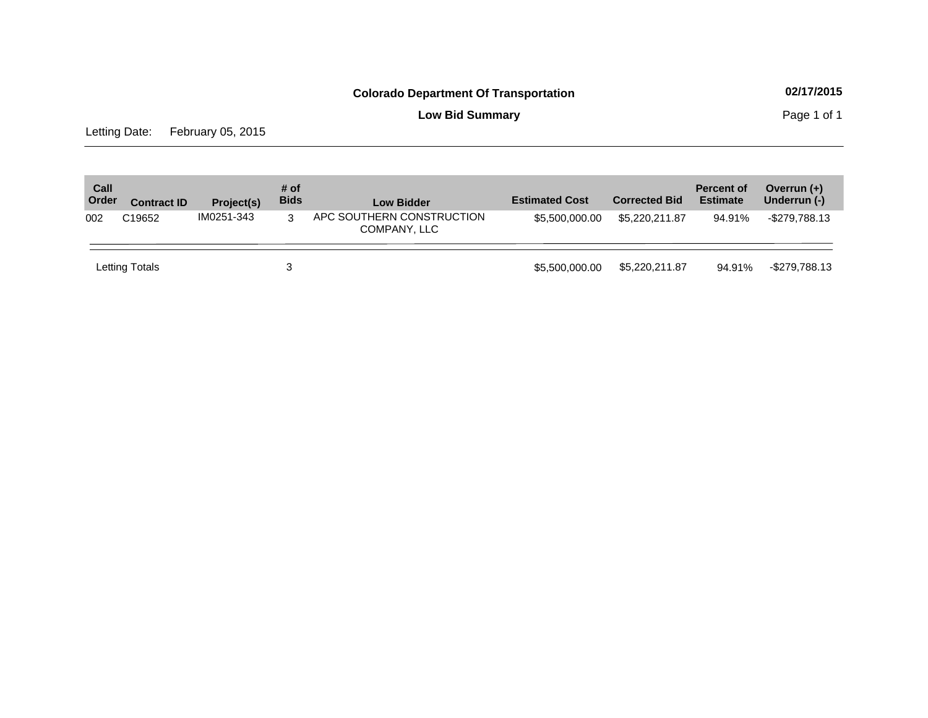**Low Bid Summary Page 1 of 1** 

Letting Date: February 05, 2015

| Call<br>Order | <b>Contract ID</b> | Project(s) | # of<br><b>Bids</b> | <b>Low Bidder</b>                         | <b>Estimated Cost</b> | <b>Corrected Bid</b> | <b>Percent of</b><br><b>Estimate</b> | Overrun $(+)$<br>Underrun (-) |
|---------------|--------------------|------------|---------------------|-------------------------------------------|-----------------------|----------------------|--------------------------------------|-------------------------------|
| 002           | C19652             | IM0251-343 | 3                   | APC SOUTHERN CONSTRUCTION<br>COMPANY, LLC | \$5,500,000.00        | \$5,220,211.87       | 94.91%                               | -\$279,788.13                 |
|               | Letting Totals     |            | 3                   |                                           | \$5,500,000,00        | \$5,220,211.87       | 94.91%                               | -\$279,788.13                 |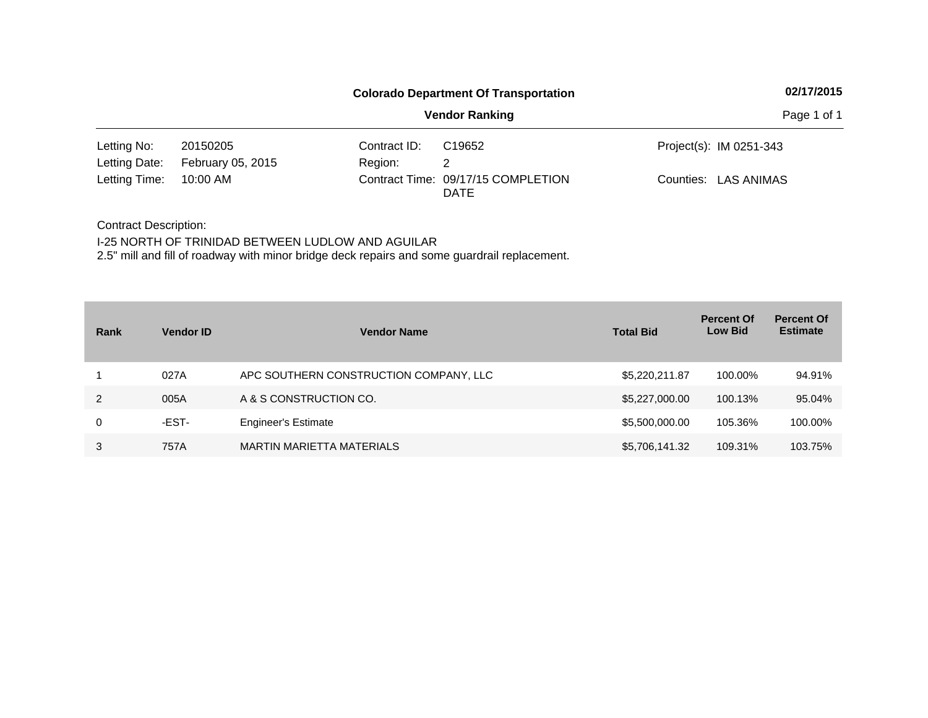|                              |                               |                         | <b>Colorado Department Of Transportation</b>      | 02/17/2015              |
|------------------------------|-------------------------------|-------------------------|---------------------------------------------------|-------------------------|
|                              |                               |                         | <b>Vendor Ranking</b>                             | Page 1 of 1             |
| Letting No:<br>Letting Date: | 20150205<br>February 05, 2015 | Contract ID:<br>Region: | C <sub>19652</sub>                                | Project(s): IM 0251-343 |
| Letting Time:                | 10:00 AM                      |                         | Contract Time: 09/17/15 COMPLETION<br><b>DATE</b> | Counties: LAS ANIMAS    |

Contract Description: I-25 NORTH OF TRINIDAD BETWEEN LUDLOW AND AGUILAR 2.5" mill and fill of roadway with minor bridge deck repairs and some guardrail replacement.

| Rank | <b>Vendor ID</b> | <b>Vendor Name</b>                     | <b>Total Bid</b> | <b>Percent Of</b><br><b>Low Bid</b> | <b>Percent Of</b><br><b>Estimate</b> |
|------|------------------|----------------------------------------|------------------|-------------------------------------|--------------------------------------|
|      | 027A             | APC SOUTHERN CONSTRUCTION COMPANY, LLC | \$5,220,211.87   | 100.00%                             | 94.91%                               |
| 2    | 005A             | A & S CONSTRUCTION CO.                 | \$5,227,000.00   | 100.13%                             | 95.04%                               |
| 0    | -EST-            | <b>Engineer's Estimate</b>             | \$5,500,000.00   | 105.36%                             | 100.00%                              |
| 3    | 757A             | <b>MARTIN MARIETTA MATERIALS</b>       | \$5,706,141.32   | 109.31%                             | 103.75%                              |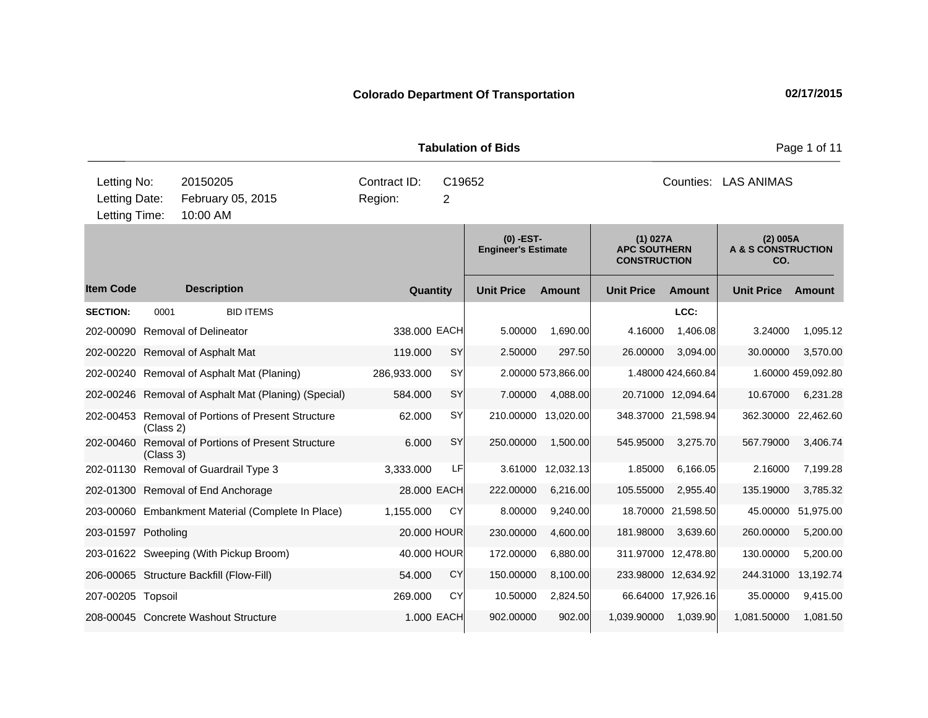**Quantity Unit Price Unit Price Ext** Item Code Description Quantity Unit Price Amount Unit Price Amount Unit Price **Ext Unit Price Amount Ext Amount (0) -EST-Engineer's Estimate (1) 027A APC SOUTHERN CONSTRUCTION (2) 005A A & S CONSTRUCTION CO. Description SECTION:** 0001 BID ITEMS **LCC:** 202-00090 Removal of Delineator 338.000 EACH 5.00000 1,690.00 4.16000 1,406.08 3.24000 1,095.12 202-00220 Removal of Asphalt Mat 119.000 SY 2.50000 297.50 26.00000 3,094.00 30.00000 3,570.00 202-00240 Removal of Asphalt Mat (Planing) 286,933.000 SY 2.00000 573,866.00 1.48000 424,660.84 1.60000 459,092.80 202-00246 Removal of Asphalt Mat (Planing) (Special) 584.000 SY 7.00000 4,088.00 20.71000 12,094.64 10.67000 6,231.28 202-00453 Removal of Portions of Present Structure (Class 2)  $62.000$  SY 210.00000 13,020.00 348.37000 21,598.94 362.30000 22,462.60 202-00460 Removal of Portions of Present Structure (Class 3) 6.000 SY 250.00000 1,500.00 545.95000 3,275.70 567.79000 3,406.74 202-01130 Removal of Guardrail Type 3 3,333.000 LF 3.61000 12,032.13 1.85000 6,166.05 2.16000 7,199.28 202-01300 Removal of End Anchorage 28.000 EACH 222.00000 6,216.00 105.55000 2,955.40 135.19000 3,785.32 203-00060 Embankment Material (Complete In Place) 1,155.000 CY 8.00000 9,240.00 18.70000 21,598.50 45.00000 51,975.00 203-01597 Potholing 20.000 HOUR 230.00000 4,600.00 181.98000 3,639.60 260.00000 5,200.00 203-01622 Sweeping (With Pickup Broom) 40.000 HOUR 172.00000 6,880.00 311.97000 12,478.80 130.00000 5,200.00 206-00065 Structure Backfill (Flow-Fill) 54.000 CY 150.00000 8,100.00 233.98000 12,634.92 244.31000 13,192.74 207-00205 Topsoil 269.000 CY 10.50000 2,824.50 66.64000 17,926.16 35.00000 9,415.00 208-00045 Concrete Washout Structure 1.000 EACH 902.00000 902.00 1,039.90000 1,039.90 1,081.50000 1,081.50 **Tabulation of Bids Page 1 of 11** 10:00 AM Counties: LAS ANIMAS Letting Date: February 05, 2015 Region: 2 C19652 Region: Letting Time: Letting No: 20150205 Contract ID: Counties: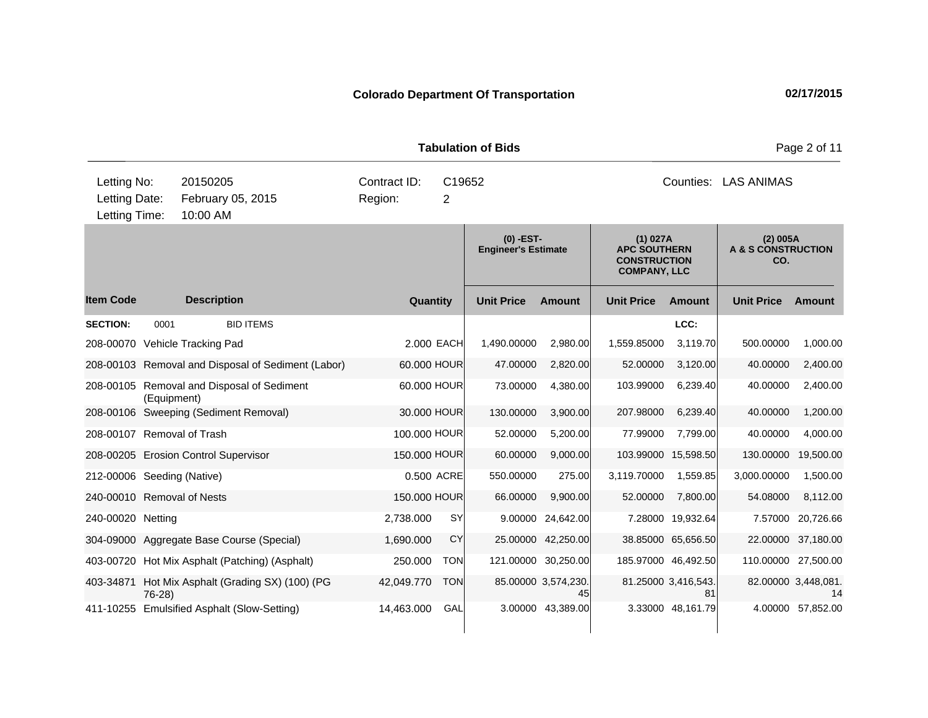|                                               |             |                                                    |                         |                          | <b>Tabulation of Bids</b>                 |                           |                                                                               |                                |                                                  | Page 2 of 11              |
|-----------------------------------------------|-------------|----------------------------------------------------|-------------------------|--------------------------|-------------------------------------------|---------------------------|-------------------------------------------------------------------------------|--------------------------------|--------------------------------------------------|---------------------------|
| Letting No:<br>Letting Date:<br>Letting Time: |             | 20150205<br>February 05, 2015<br>10:00 AM          | Contract ID:<br>Region: | C19652<br>$\overline{2}$ |                                           |                           |                                                                               | Counties:<br><b>LAS ANIMAS</b> |                                                  |                           |
|                                               |             |                                                    |                         |                          | $(0)$ -EST-<br><b>Engineer's Estimate</b> |                           | (1) 027A<br><b>APC SOUTHERN</b><br><b>CONSTRUCTION</b><br><b>COMPANY, LLC</b> |                                | (2) 005A<br><b>A &amp; S CONSTRUCTION</b><br>CO. |                           |
| <b>Item Code</b>                              |             | <b>Description</b>                                 | Quantity                |                          | <b>Unit Price</b>                         | Amount                    | <b>Unit Price</b>                                                             | Amount                         | <b>Unit Price</b>                                | Amount                    |
| <b>SECTION:</b>                               | 0001        | <b>BID ITEMS</b>                                   |                         |                          |                                           |                           |                                                                               | LCC:                           |                                                  |                           |
|                                               |             | 208-00070 Vehicle Tracking Pad                     | 2,000 EACH              |                          | 1,490.00000                               | 2.980.00                  | 1,559.85000                                                                   | 3.119.70                       | 500.00000                                        | 1,000.00                  |
|                                               |             | 208-00103 Removal and Disposal of Sediment (Labor) | 60.000 HOUR             |                          | 47.00000                                  | 2,820.00                  | 52.00000                                                                      | 3,120.00                       | 40.00000                                         | 2,400.00                  |
|                                               | (Equipment) | 208-00105 Removal and Disposal of Sediment         | 60.000 HOUR             |                          | 73.00000                                  | 4,380.00                  | 103.99000                                                                     | 6,239.40                       | 40.00000                                         | 2,400.00                  |
|                                               |             | 208-00106 Sweeping (Sediment Removal)              | 30.000 HOUR             |                          | 130.00000                                 | 3,900.00                  | 207.98000                                                                     | 6,239.40                       | 40.00000                                         | 1,200.00                  |
| 208-00107 Removal of Trash                    |             |                                                    | 100.000 HOUR            |                          | 52.00000                                  | 5,200.00                  | 77.99000                                                                      | 7,799.00                       | 40.00000                                         | 4,000.00                  |
|                                               |             | 208-00205 Erosion Control Supervisor               | 150.000 HOUR            |                          | 60.00000                                  | 9,000.00                  |                                                                               | 103.99000 15,598.50            | 130.00000                                        | 19,500.00                 |
| 212-00006 Seeding (Native)                    |             |                                                    |                         | 0.500 ACRE               | 550.00000                                 | 275.00                    | 3,119.70000                                                                   | 1,559.85                       | 3,000.00000                                      | 1,500.00                  |
| 240-00010 Removal of Nests                    |             |                                                    | 150.000 HOUR            |                          | 66.00000                                  | 9,900.00                  | 52.00000                                                                      | 7,800.00                       | 54.08000                                         | 8,112.00                  |
| 240-00020 Netting                             |             |                                                    | 2,738.000               | <b>SY</b>                | 9.00000                                   | 24,642.00                 |                                                                               | 7.28000 19,932.64              |                                                  | 7.57000 20,726.66         |
|                                               |             | 304-09000 Aggregate Base Course (Special)          | 1,690.000               | CY                       | 25.00000                                  | 42,250.00                 |                                                                               | 38.85000 65,656.50             |                                                  | 22.00000 37,180.00        |
|                                               |             | 403-00720 Hot Mix Asphalt (Patching) (Asphalt)     | 250.000                 | <b>TON</b>               |                                           | 121.00000 30,250.00       |                                                                               | 185.97000 46,492.50            | 110.00000 27,500.00                              |                           |
| 403-34871                                     | $76-28$     | Hot Mix Asphalt (Grading SX) (100) (PG             | 42,049.770              | <b>TON</b>               |                                           | 85.00000 3,574,230.<br>45 |                                                                               | 81.25000 3,416,543.<br>81      |                                                  | 82.00000 3,448,081.<br>14 |
| 411-10255                                     |             | <b>Emulsified Asphalt (Slow-Setting)</b>           | 14,463.000              | GAL                      |                                           | 3.00000 43,389.00         |                                                                               | 3.33000 48.161.79              |                                                  | 4.00000 57.852.00         |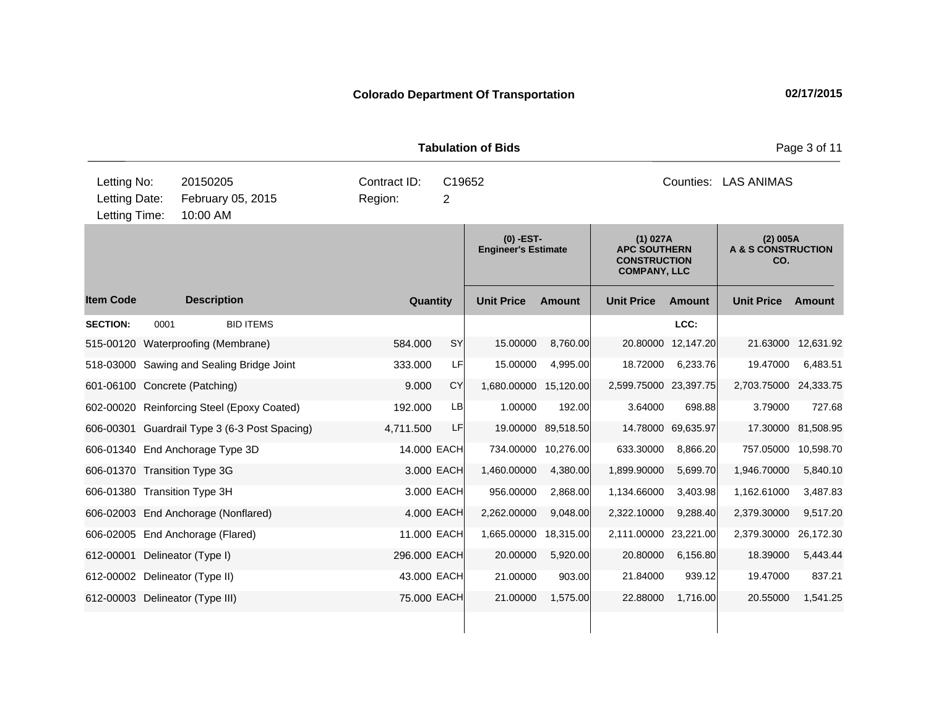|                                               |      |                                               |                         |             | <b>Tabulation of Bids</b>                 |               |                                                                               |                      |                                       | Page 3 of 11       |
|-----------------------------------------------|------|-----------------------------------------------|-------------------------|-------------|-------------------------------------------|---------------|-------------------------------------------------------------------------------|----------------------|---------------------------------------|--------------------|
| Letting No:<br>Letting Date:<br>Letting Time: |      | 20150205<br>February 05, 2015<br>10:00 AM     | Contract ID:<br>Region: | C19652<br>2 |                                           |               |                                                                               | Counties: LAS ANIMAS |                                       |                    |
|                                               |      |                                               |                         |             | $(0)$ -EST-<br><b>Engineer's Estimate</b> |               | (1) 027A<br><b>APC SOUTHERN</b><br><b>CONSTRUCTION</b><br><b>COMPANY, LLC</b> |                      | (2) 005A<br>A & S CONSTRUCTION<br>CO. |                    |
| <b>Item Code</b>                              |      | <b>Description</b>                            | Quantity                |             | <b>Unit Price</b>                         | <b>Amount</b> | <b>Unit Price</b>                                                             | <b>Amount</b>        | <b>Unit Price</b>                     | Amount             |
| <b>SECTION:</b>                               | 0001 | <b>BID ITEMS</b>                              |                         |             |                                           |               |                                                                               | LCC:                 |                                       |                    |
| 515-00120                                     |      | Waterproofing (Membrane)                      | 584.000                 | <b>SY</b>   | 15.00000                                  | 8,760.00      | 20.80000                                                                      | 12,147.20            | 21.63000                              | 12,631.92          |
|                                               |      | 518-03000 Sawing and Sealing Bridge Joint     | 333.000                 | LF          | 15.00000                                  | 4,995.00      | 18.72000                                                                      | 6,233.76             | 19.47000                              | 6,483.51           |
|                                               |      | 601-06100 Concrete (Patching)                 | 9.000                   | CY          | 1,680.00000 15,120.00                     |               | 2,599.75000 23,397.75                                                         |                      | 2,703.75000 24,333.75                 |                    |
|                                               |      | 602-00020 Reinforcing Steel (Epoxy Coated)    | 192.000                 | LB          | 1.00000                                   | 192.00        | 3.64000                                                                       | 698.88               | 3.79000                               | 727.68             |
|                                               |      | 606-00301 Guardrail Type 3 (6-3 Post Spacing) | 4,711.500               | LF          | 19.00000                                  | 89,518.50     |                                                                               | 14.78000 69,635.97   |                                       | 17.30000 81,508.95 |
|                                               |      | 606-01340 End Anchorage Type 3D               | 14,000 EACH             |             | 734.00000                                 | 10,276.00     | 633.30000                                                                     | 8,866.20             | 757.05000                             | 10,598.70          |
|                                               |      | 606-01370 Transition Type 3G                  |                         | 3.000 EACH  | 1,460.00000                               | 4,380.00      | 1,899.90000                                                                   | 5,699.70             | 1,946.70000                           | 5,840.10           |
|                                               |      | 606-01380 Transition Type 3H                  |                         | 3.000 EACH  | 956.00000                                 | 2,868.00      | 1,134.66000                                                                   | 3,403.98             | 1,162.61000                           | 3,487.83           |
|                                               |      | 606-02003 End Anchorage (Nonflared)           |                         | 4.000 EACH  | 2,262.00000                               | 9,048.00      | 2,322.10000                                                                   | 9,288.40             | 2,379.30000                           | 9,517.20           |
|                                               |      | 606-02005 End Anchorage (Flared)              | 11.000 EACH             |             | 1,665.00000                               | 18,315.00     | 2,111.00000 23,221.00                                                         |                      | 2,379.30000                           | 26,172.30          |
| 612-00001                                     |      | Delineator (Type I)                           | 296.000 EACH            |             | 20.00000                                  | 5,920.00      | 20.80000                                                                      | 6,156.80             | 18.39000                              | 5,443.44           |
|                                               |      | 612-00002 Delineator (Type II)                | 43.000 EACH             |             | 21.00000                                  | 903.00        | 21.84000                                                                      | 939.12               | 19.47000                              | 837.21             |
|                                               |      | 612-00003 Delineator (Type III)               | 75.000 EACH             |             | 21.00000                                  | 1,575.00      | 22.88000                                                                      | 1,716.00             | 20.55000                              | 1,541.25           |
|                                               |      |                                               |                         |             |                                           |               |                                                                               |                      |                                       |                    |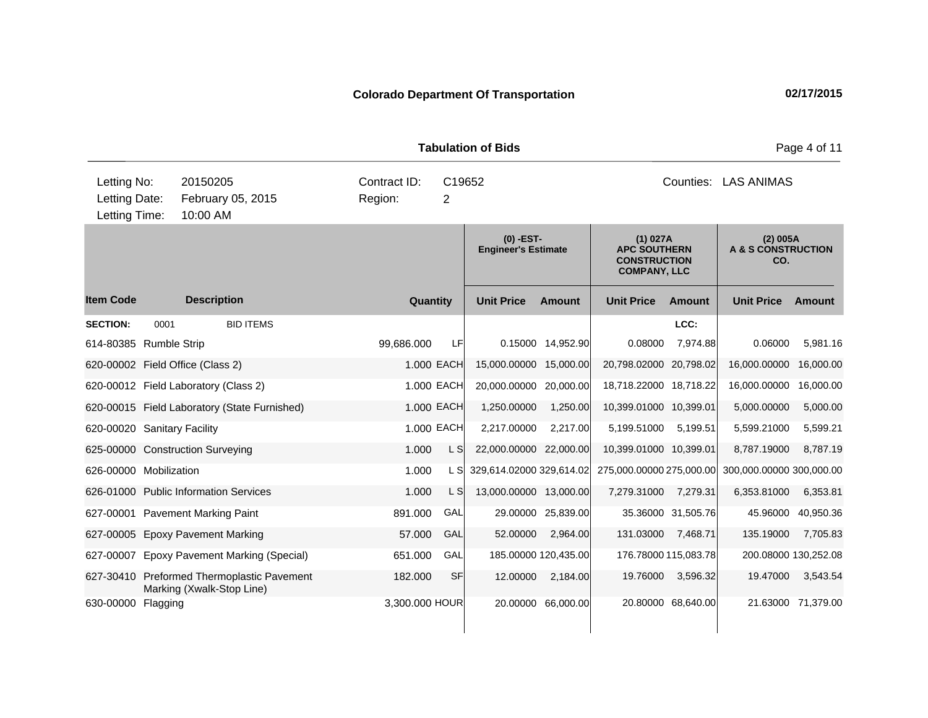|                                               |      |                      |                                                                         |                         |                                         |                          | <b>Tabulation of Bids</b>                                                     |                      |                                                  |                      |                          | Page 4 of 11       |
|-----------------------------------------------|------|----------------------|-------------------------------------------------------------------------|-------------------------|-----------------------------------------|--------------------------|-------------------------------------------------------------------------------|----------------------|--------------------------------------------------|----------------------|--------------------------|--------------------|
| Letting No:<br>Letting Date:<br>Letting Time: |      | 20150205<br>10:00 AM | February 05, 2015                                                       | Contract ID:<br>Region: |                                         | C19652<br>$\overline{2}$ |                                                                               |                      |                                                  |                      | Counties: LAS ANIMAS     |                    |
|                                               |      |                      |                                                                         |                         | (0) -EST-<br><b>Engineer's Estimate</b> |                          | (1) 027A<br><b>APC SOUTHERN</b><br><b>CONSTRUCTION</b><br><b>COMPANY, LLC</b> |                      | (2) 005A<br><b>A &amp; S CONSTRUCTION</b><br>CO. |                      |                          |                    |
| <b>Item Code</b>                              |      | <b>Description</b>   |                                                                         |                         | Quantity                                |                          | <b>Unit Price</b>                                                             | <b>Amount</b>        | <b>Unit Price</b>                                | <b>Amount</b>        | <b>Unit Price</b>        | Amount             |
| <b>SECTION:</b>                               | 0001 |                      | <b>BID ITEMS</b>                                                        |                         |                                         |                          |                                                                               |                      |                                                  | LCC:                 |                          |                    |
| 614-80385 Rumble Strip                        |      |                      |                                                                         | 99,686.000              |                                         | LF                       | 0.15000                                                                       | 14,952.90            | 0.08000                                          | 7,974.88             | 0.06000                  | 5,981.16           |
| 620-00002 Field Office (Class 2)              |      |                      |                                                                         |                         |                                         | 1.000 EACH               | 15,000.00000                                                                  | 15,000.00            | 20,798.02000 20,798.02                           |                      | 16,000.00000             | 16,000.00          |
| 620-00012 Field Laboratory (Class 2)          |      |                      |                                                                         |                         |                                         | 1.000 EACH               | 20,000.00000 20,000.00                                                        |                      | 18,718.22000 18,718.22                           |                      | 16,000.00000 16,000.00   |                    |
|                                               |      |                      | 620-00015 Field Laboratory (State Furnished)                            |                         |                                         | 1.000 EACH               | 1,250.00000                                                                   | 1,250.00             | 10,399.01000 10,399.01                           |                      | 5,000.00000              | 5,000.00           |
| 620-00020 Sanitary Facility                   |      |                      |                                                                         |                         |                                         | 1.000 EACH               | 2,217.00000                                                                   | 2,217.00             | 5,199.51000                                      | 5,199.51             | 5,599.21000              | 5,599.21           |
| 625-00000 Construction Surveying              |      |                      |                                                                         |                         | 1.000                                   | L S                      | 22,000.00000                                                                  | 22,000.00            | 10,399.01000 10,399.01                           |                      | 8,787.19000              | 8,787.19           |
| 626-00000 Mobilization                        |      |                      |                                                                         |                         | 1.000                                   | L SI                     | 329,614.02000 329,614.02                                                      |                      | 275,000.00000 275,000.00                         |                      | 300,000.00000 300,000.00 |                    |
| 626-01000 Public Information Services         |      |                      |                                                                         |                         | 1.000                                   | L S                      | 13,000.00000 13,000.00                                                        |                      | 7,279.31000                                      | 7,279.31             | 6,353.81000              | 6,353.81           |
| 627-00001 Pavement Marking Paint              |      |                      |                                                                         |                         | 891.000                                 | GAL                      | 29.00000                                                                      | 25,839.00            |                                                  | 35.36000 31,505.76   | 45.96000                 | 40,950.36          |
| 627-00005 Epoxy Pavement Marking              |      |                      |                                                                         |                         | 57.000                                  | GAL                      | 52.00000                                                                      | 2,964.00             | 131.03000                                        | 7,468.71             | 135.19000                | 7,705.83           |
| 627-00007                                     |      |                      | <b>Epoxy Pavement Marking (Special)</b>                                 |                         | 651.000                                 | GAL                      |                                                                               | 185.00000 120,435.00 |                                                  | 176.78000 115,083.78 | 200.08000 130,252.08     |                    |
|                                               |      |                      | 627-30410 Preformed Thermoplastic Pavement<br>Marking (Xwalk-Stop Line) |                         | 182.000                                 | <b>SF</b>                | 12.00000                                                                      | 2,184.00             | 19.76000                                         | 3,596.32             | 19.47000                 | 3,543.54           |
| 630-00000 Flagging                            |      |                      |                                                                         |                         |                                         | 3,300.000 HOUR           |                                                                               | 20.00000 66,000.00   |                                                  | 20.80000 68,640.00   |                          | 21.63000 71,379.00 |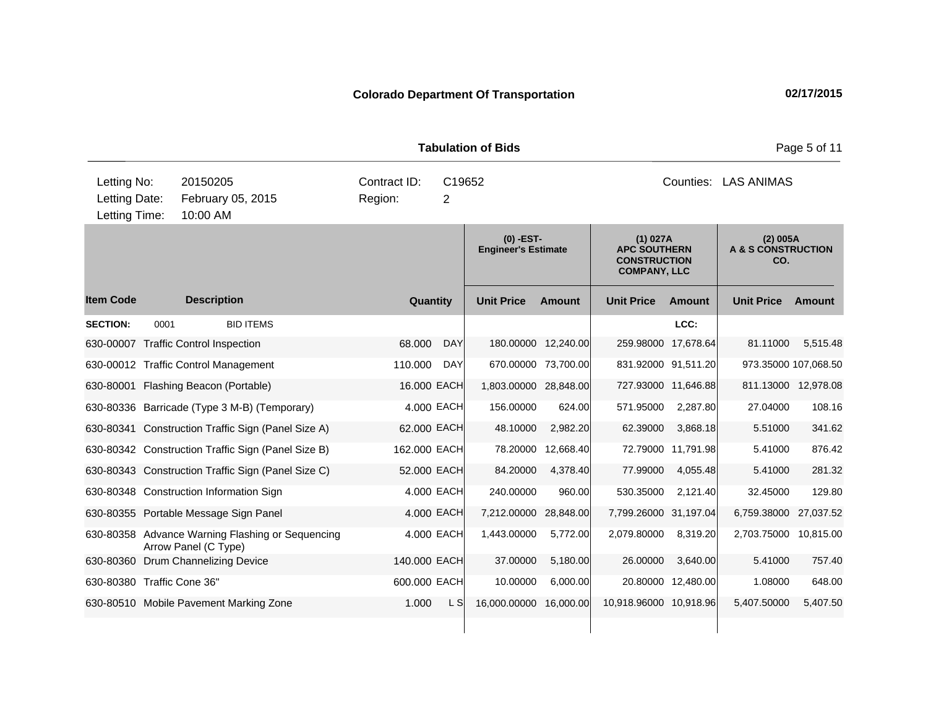|                                               |      |                                                                          |                         |                          | <b>Tabulation of Bids</b>                 |           |                                                                               |                     |                                       | Page 5 of 11 |
|-----------------------------------------------|------|--------------------------------------------------------------------------|-------------------------|--------------------------|-------------------------------------------|-----------|-------------------------------------------------------------------------------|---------------------|---------------------------------------|--------------|
| Letting No:<br>Letting Date:<br>Letting Time: |      | 20150205<br>February 05, 2015<br>10:00 AM                                | Contract ID:<br>Region: | C19652<br>$\overline{2}$ |                                           |           |                                                                               | Counties:           | <b>LAS ANIMAS</b>                     |              |
|                                               |      |                                                                          |                         |                          | $(0)$ -EST-<br><b>Engineer's Estimate</b> |           | (1) 027A<br><b>APC SOUTHERN</b><br><b>CONSTRUCTION</b><br><b>COMPANY, LLC</b> |                     | (2) 005A<br>A & S CONSTRUCTION<br>CO. |              |
| <b>Item Code</b>                              |      | <b>Description</b>                                                       | Quantity                |                          | <b>Unit Price</b>                         | Amount    | <b>Unit Price</b>                                                             | Amount              | <b>Unit Price</b>                     | Amount       |
| <b>SECTION:</b>                               | 0001 | <b>BID ITEMS</b>                                                         |                         |                          |                                           |           |                                                                               | LCC:                |                                       |              |
|                                               |      | 630-00007 Traffic Control Inspection                                     | 68,000                  | <b>DAY</b>               | 180.00000                                 | 12,240.00 | 259.98000                                                                     | 17,678.64           | 81.11000                              | 5,515.48     |
|                                               |      | 630-00012 Traffic Control Management                                     | 110.000                 | DAY                      | 670.00000                                 | 73,700.00 |                                                                               | 831.92000 91,511.20 | 973.35000 107,068.50                  |              |
|                                               |      | 630-80001 Flashing Beacon (Portable)                                     | 16.000 EACH             |                          | 1,803.00000 28,848.00                     |           |                                                                               | 727.93000 11,646.88 | 811.13000 12,978.08                   |              |
|                                               |      | 630-80336 Barricade (Type 3 M-B) (Temporary)                             |                         | 4.000 EACH               | 156.00000                                 | 624.00    | 571.95000                                                                     | 2,287.80            | 27.04000                              | 108.16       |
|                                               |      | 630-80341 Construction Traffic Sign (Panel Size A)                       | 62.000 EACH             |                          | 48.10000                                  | 2,982.20  | 62.39000                                                                      | 3,868.18            | 5.51000                               | 341.62       |
|                                               |      | 630-80342 Construction Traffic Sign (Panel Size B)                       | 162.000 EACH            |                          | 78.20000                                  | 12,668.40 |                                                                               | 72.79000 11,791.98  | 5.41000                               | 876.42       |
|                                               |      | 630-80343 Construction Traffic Sign (Panel Size C)                       | 52.000 EACH             |                          | 84.20000                                  | 4,378.40  | 77.99000                                                                      | 4,055.48            | 5.41000                               | 281.32       |
|                                               |      | 630-80348 Construction Information Sign                                  |                         | 4.000 EACH               | 240.00000                                 | 960.00    | 530.35000                                                                     | 2,121.40            | 32.45000                              | 129.80       |
|                                               |      | 630-80355 Portable Message Sign Panel                                    | 4.000 EACH              |                          | 7,212.00000                               | 28,848.00 | 7,799.26000                                                                   | 31,197.04           | 6,759.38000                           | 27,037.52    |
|                                               |      | 630-80358 Advance Warning Flashing or Sequencing<br>Arrow Panel (C Type) |                         | 4.000 EACH               | 1,443.00000                               | 5,772.00  | 2,079.80000                                                                   | 8,319.20            | 2,703.75000 10,815.00                 |              |
|                                               |      | 630-80360 Drum Channelizing Device                                       | 140.000 EACH            |                          | 37.00000                                  | 5,180.00  | 26.00000                                                                      | 3,640.00            | 5.41000                               | 757.40       |
| 630-80380 Traffic Cone 36"                    |      |                                                                          | 600.000 EACH            |                          | 10.00000                                  | 6,000.00  |                                                                               | 20.80000 12,480.00  | 1.08000                               | 648.00       |
|                                               |      | 630-80510 Mobile Pavement Marking Zone                                   | 1.000                   | L S                      | 16,000.00000                              | 16,000.00 | 10,918.96000 10,918.96                                                        |                     | 5,407.50000                           | 5,407.50     |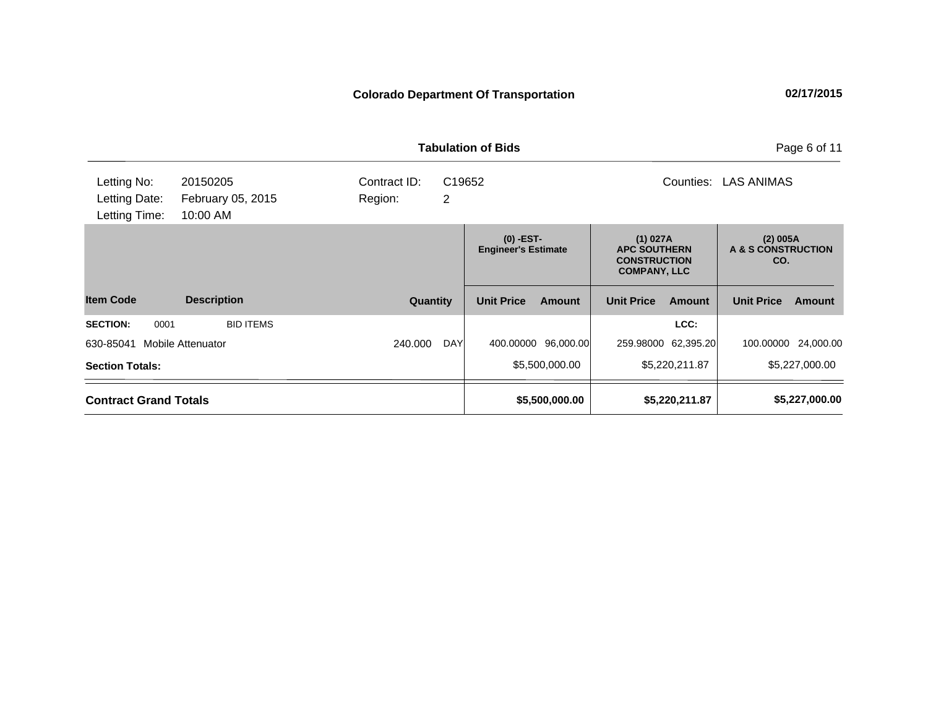|                                               |                                           |                              | <b>Tabulation of Bids</b> |                                                                                                             |                   |                |                                       | Page 6 of 11   |
|-----------------------------------------------|-------------------------------------------|------------------------------|---------------------------|-------------------------------------------------------------------------------------------------------------|-------------------|----------------|---------------------------------------|----------------|
| Letting No:<br>Letting Date:<br>Letting Time: | 20150205<br>February 05, 2015<br>10:00 AM | Contract ID:<br>2<br>Region: | C19652                    | Counties:                                                                                                   |                   |                | <b>LAS ANIMAS</b>                     |                |
|                                               |                                           |                              | $(0)$ -EST-               | (1) 027A<br><b>Engineer's Estimate</b><br><b>APC SOUTHERN</b><br><b>CONSTRUCTION</b><br><b>COMPANY, LLC</b> |                   |                | (2) 005A<br>A & S CONSTRUCTION<br>CO. |                |
| <b>Item Code</b>                              | <b>Description</b>                        | Quantity                     | <b>Unit Price</b>         | <b>Amount</b>                                                                                               | <b>Unit Price</b> | <b>Amount</b>  | <b>Unit Price</b>                     | Amount         |
| <b>SECTION:</b><br>0001                       | <b>BID ITEMS</b>                          |                              |                           |                                                                                                             |                   | LCC:           |                                       |                |
| 630-85041                                     | <b>Mobile Attenuator</b>                  | 240.000<br><b>DAY</b>        | 400.00000                 | 96,000.00                                                                                                   | 259.98000         | 62,395.20      | 100.00000                             | 24,000.00      |
| <b>Section Totals:</b>                        |                                           |                              |                           | \$5,500,000.00                                                                                              |                   | \$5,220,211.87 |                                       | \$5,227,000.00 |
| <b>Contract Grand Totals</b>                  |                                           |                              |                           | \$5,500,000.00                                                                                              |                   | \$5,220,211.87 |                                       | \$5,227,000.00 |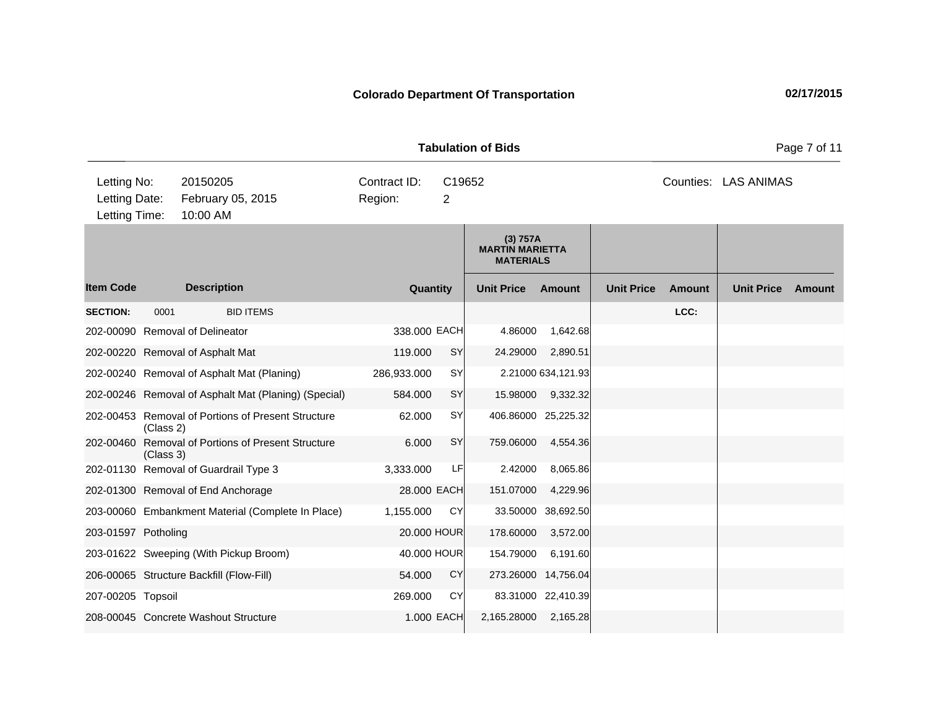**Quantity Unit Price Unit Price Item Code Amount Unit Price Amount Ext Ext Unit Price Amount Ext (3) 757A MARTIN MARIETTA MATERIALS Description SECTION:** 0001 BID ITEMS **LCC:** 202-00090 Removal of Delineator 338.000 EACH 4.86000 1,642.68 202-00220 Removal of Asphalt Mat 119.000 SY 24.29000 2,890.51 202-00240 Removal of Asphalt Mat (Planing) 286,933.000 SY 2.21000 634,121.93 202-00246 Removal of Asphalt Mat (Planing) (Special) 584.000 SY 15.98000 9,332.32 202-00453 Removal of Portions of Present Structure (Class 2) 62.000 SY 406.86000 25,225.32 202-00460 Removal of Portions of Present Structure (Class 3) 6.000 SY 759.06000 4,554.36 202-01130 Removal of Guardrail Type 3 3,333.000 LF 2.42000 8,065.86 202-01300 Removal of End Anchorage 28.000 EACH 151.07000 4,229.96 203-00060 Embankment Material (Complete In Place) 1,155.000 CY 33.50000 38,692.50 203-01597 Potholing 20.000 HOUR 178.60000 3,572.00 203-01622 Sweeping (With Pickup Broom) 40.000 HOUR 154.79000 6,191.60 206-00065 Structure Backfill (Flow-Fill) 54.000 CY 273.26000 14,756.04 207-00205 Topsoil 269.000 CY 83.31000 22,410.39 208-00045 Concrete Washout Structure 1.000 EACH 2,165.28000 2,165.28 **Tabulation of Bids** Page 7 of 11 10:00 AM Counties: LAS ANIMAS Letting Date: February 05, 2015 Region: 2 C19652 Region: Letting Time: Letting No: 20150205 Contract ID: Counties: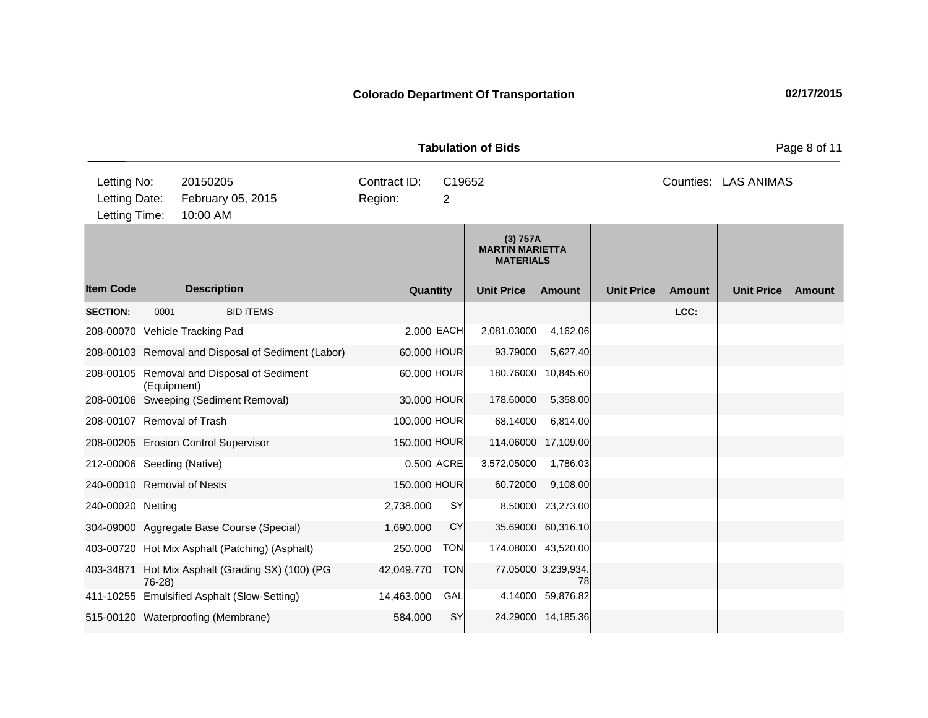**Quantity Unit Price Unit Price Item Code Amount Unit Price Amount Ext Ext Unit Price Amount Ext (3) 757A MARTIN MARIETTA MATERIALS Description SECTION:** 0001 BID ITEMS **LCC:** 208-00070 Vehicle Tracking Pad 2.000 EACH 2,081.03000 4,162.06 208-00103 Removal and Disposal of Sediment (Labor) 60.000 HOUR 93.79000 5,627.40 208-00105 Removal and Disposal of Sediment (Equipment) 60.000 HOUR 180.76000 10,845.60 208-00106 Sweeping (Sediment Removal) 30.000 HOUR 178.60000 5,358.00 208-00107 Removal of Trash 100.000 HOUR 68.14000 6,814.00 208-00205 Erosion Control Supervisor 150.000 HOUR 114.06000 17,109.00 212-00006 Seeding (Native) 0.500 ACRE 3,572.05000 1,786.03 240-00010 Removal of Nests 150.000 HOUR 60.72000 9,108.00 240-00020 Netting 2,738.000 SY 8.50000 23,273.00 304-09000 Aggregate Base Course (Special) 1,690.000 CY 35.69000 60,316.10 403-00720 Hot Mix Asphalt (Patching) (Asphalt) 250.000 TON 174.08000 43,520.00 403-34871 Hot Mix Asphalt (Grading SX) (100) (PG 76-28) 42,049.770 TON 77.05000 3,239,934. 78 411-10255 Emulsified Asphalt (Slow-Setting) 14,463.000 GAL 4.14000 59,876.82 515-00120 Waterproofing (Membrane) 584.000 SY 24.29000 14,185.36 **Tabulation of Bids** Page 8 of 11 10:00 AM Counties: LAS ANIMAS Letting Date: February 05, 2015 Region: 2 C19652 Region: Letting Time: Letting No: 20150205 Contract ID: Counties: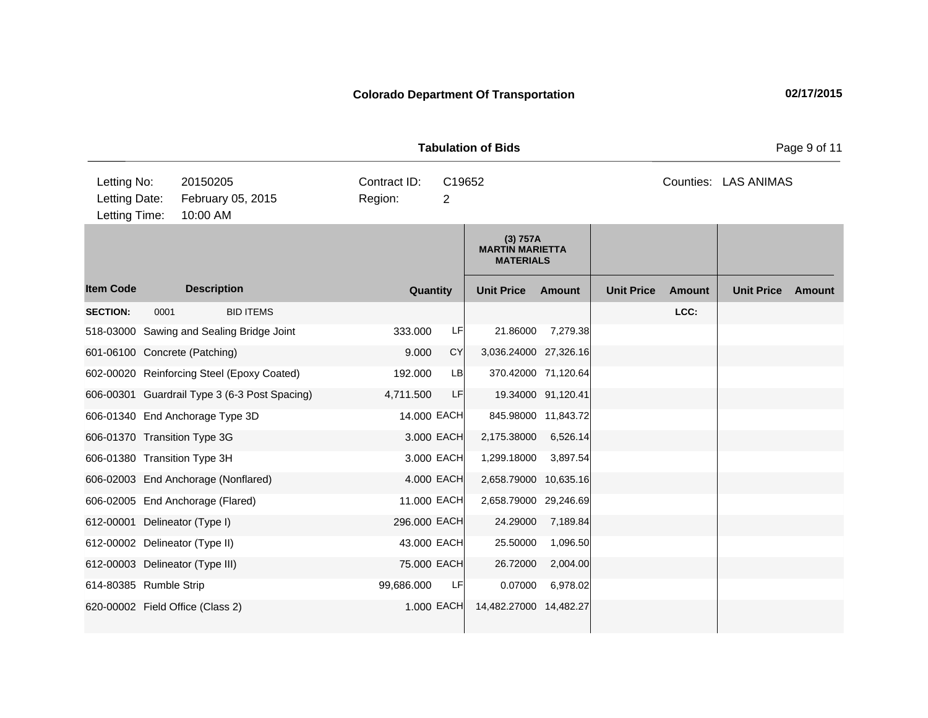**Quantity Unit Price Unit Price Item Code Amount Unit Price Amount Ext Ext Unit Price Amount Ext (3) 757A MARTIN MARIETTA MATERIALS Description SECTION:** 0001 BID ITEMS **LCC:** 518-03000 Sawing and Sealing Bridge Joint 333.000 LF 21.86000 7,279.38 601-06100 Concrete (Patching) 9.000 CY 3,036.24000 27,326.16 602-00020 Reinforcing Steel (Epoxy Coated) 192.000 LB 370.42000 71,120.64 606-00301 Guardrail Type 3 (6-3 Post Spacing) 4,711.500 LF 19.34000 91,120.41 606-01340 End Anchorage Type 3D 14.000 EACH 845.98000 11,843.72 606-01370 Transition Type 3G 3.000 EACH 2,175.38000 6,526.14 606-01380 Transition Type 3H 3.000 EACH 1,299.18000 3,897.54 606-02003 End Anchorage (Nonflared) 4.000 EACH 2,658.79000 10,635.16 606-02005 End Anchorage (Flared) 11.000 EACH 2,658.79000 29,246.69 612-00001 Delineator (Type I) 296.000 EACH 24.29000 7,189.84 612-00002 Delineator (Type II) 43.000 EACH 25.50000 1,096.50 612-00003 Delineator (Type III) 75.000 EACH 26.72000 2,004.00 614-80385 Rumble Strip 99,686.000 LF 0.07000 6,978.02 620-00002 Field Office (Class 2) 1.000 EACH 14,482.27000 14,482.27 **Tabulation of Bids** Page 9 of 11 10:00 AM Counties: LAS ANIMAS Letting Date: February 05, 2015 Region: 2 C19652 Region: Letting Time: Letting No: 20150205 Contract ID: Counties: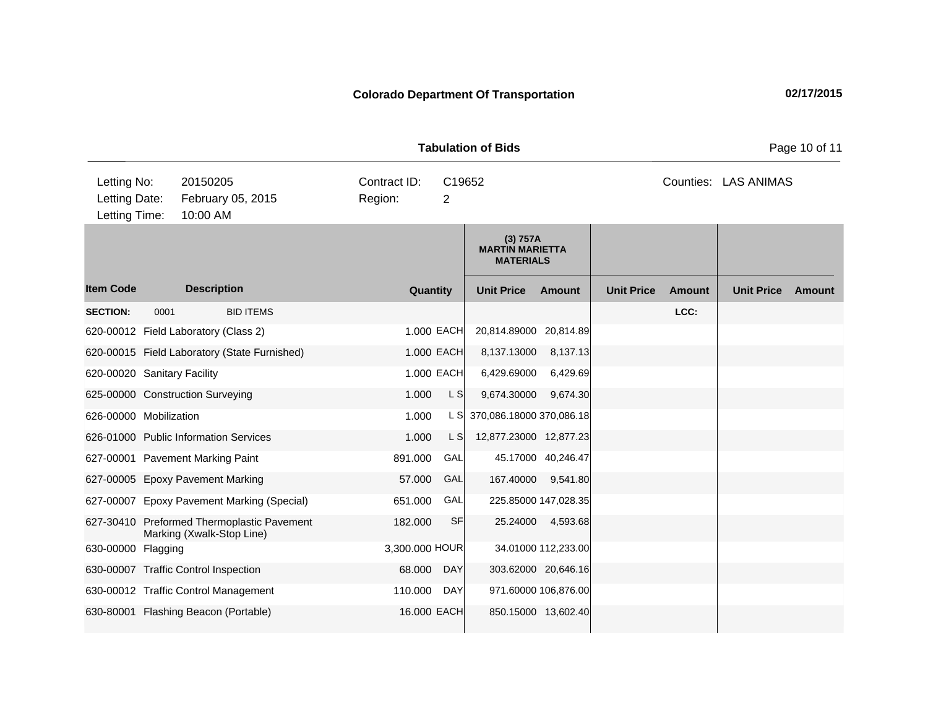**Quantity Unit Price Unit Price Item Code Amount Unit Price Amount Ext Ext Unit Price Amount Ext (3) 757A MARTIN MARIETTA MATERIALS Description SECTION:** 0001 BID ITEMS **LCC:** 620-00012 Field Laboratory (Class 2) 1.000 EACH 20,814.89000 20,814.89 620-00015 Field Laboratory (State Furnished) 1.000 EACH 8,137.13000 8,137.13 620-00020 Sanitary Facility 1.000 EACH 6,429.69000 6,429.69 625-00000 Construction Surveying 1.000 L S 9,674.30000 9,674.30 626-00000 Mobilization 1.000 L S 370,086.18000 370,086.18 626-01000 Public Information Services 1.000 L S 12,877.23000 12,877.23 627-00001 Pavement Marking Paint 891.000 GAL 45.17000 40,246.47 627-00005 Epoxy Pavement Marking 57.000 GAL 167.40000 9,541.80 627-00007 Epoxy Pavement Marking (Special) 651.000 GAL 225.85000 147,028.35 627-30410 Preformed Thermoplastic Pavement Marking (Xwalk-Stop Line) 182,000 SF 25.24000 4,593.68 630-00000 Flagging 34.01000 Flagging 3,300.000 HOUR 34.01000 112,233.00 630-00007 Traffic Control Inspection 68.000 DAY 303.62000 20,646.16 630-00012 Traffic Control Management 110.000 DAY 971.60000 106,876.00 630-80001 Flashing Beacon (Portable) 16.000 EACH 850.15000 13,602.40 **Tabulation of Bids** Page 10 of 11 10:00 AM Counties: LAS ANIMAS Letting Date: February 05, 2015 Region: 2 C19652 Region: Letting Time: Letting No: 20150205 Contract ID: Counties: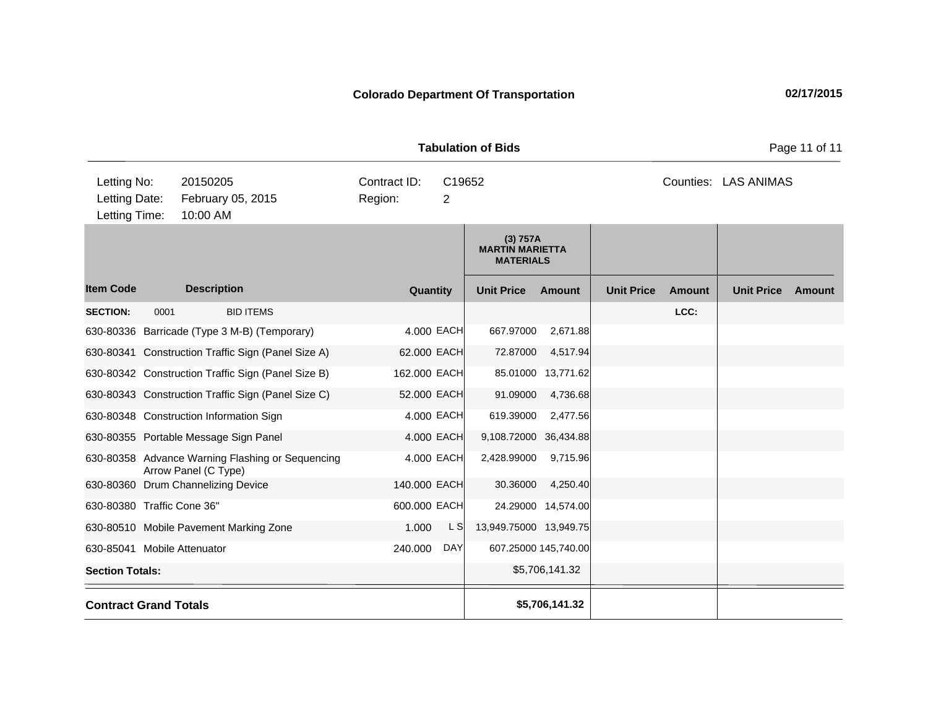**Quantity Unit Price Unit Price Item Code Amount Unit Price Amount Ext Ext Unit Price Amount Ext (3) 757A MARTIN MARIETTA MATERIALS Description SECTION:** 0001 BID ITEMS **LCC:** 630-80336 Barricade (Type 3 M-B) (Temporary) 4.000 EACH 667.97000 2,671.88 630-80341 Construction Traffic Sign (Panel Size A) 62.000 EACH 72.87000 4,517.94 630-80342 Construction Traffic Sign (Panel Size B) 162.000 EACH 85.01000 13,771.62 630-80343 Construction Traffic Sign (Panel Size C) 52.000 EACH 91.09000 4,736.68 630-80348 Construction Information Sign 4.000 EACH 619.39000 2,477.56 630-80355 Portable Message Sign Panel 4.000 EACH 9,108.72000 36,434.88 630-80358 Advance Warning Flashing or Sequencing Arrow Panel (C Type) 4.000 EACH 2,428.99000 9,715.96 630-80360 Drum Channelizing Device 140.000 EACH 30.36000 4,250.40 630-80380 Traffic Cone 36" 600.000 EACH 24.29000 14,574.00 630-80510 Mobile Pavement Marking Zone 1.000 L S 13,949.75000 13,949.75 630-85041 Mobile Attenuator 240.000 DAY 607.25000 145,740.00 **Section Totals:**  $\begin{array}{ccc} 55,706,141.32 \end{array}$ **Contract Grand Totals \$5,706,141.32 Tabulation of Bids** Page 11 of 11 10:00 AM Counties: LAS ANIMAS Letting Date: February 05, 2015 Region: 2 C19652 Region: Letting Time: Letting No: 20150205 Contract ID: Counties: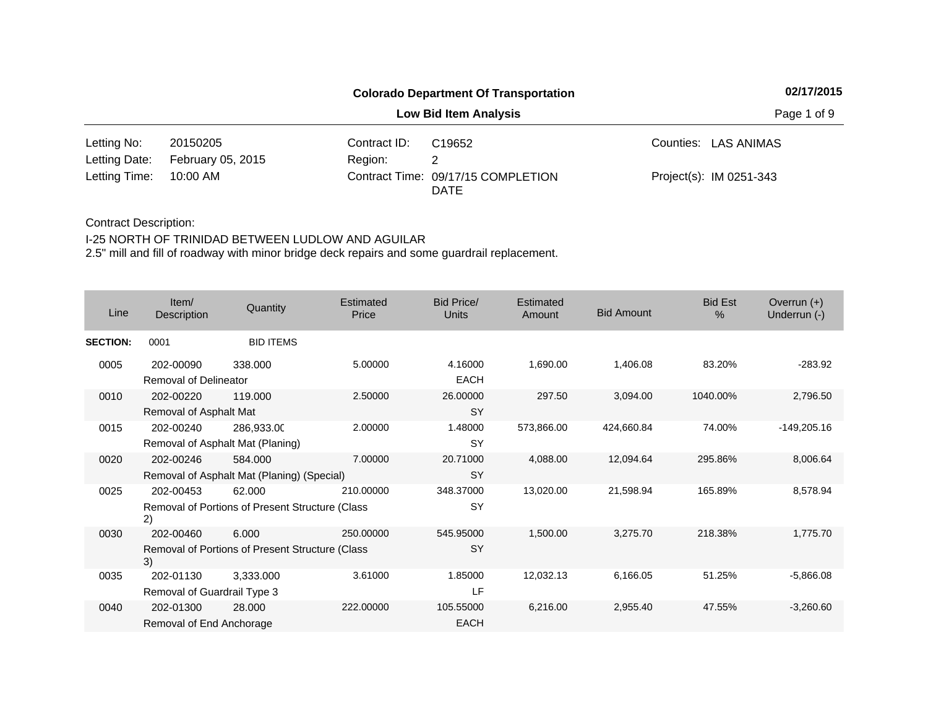|                        |                   |              | <b>Colorado Department Of Transportation</b> | 02/17/2015              |
|------------------------|-------------------|--------------|----------------------------------------------|-------------------------|
|                        |                   |              | <b>Low Bid Item Analysis</b>                 | Page 1 of 9             |
| Letting No:            | 20150205          | Contract ID: | C <sub>19652</sub>                           | Counties: LAS ANIMAS    |
| Letting Date:          | February 05, 2015 | Region:      |                                              |                         |
| Letting Time: 10:00 AM |                   |              | Contract Time: 09/17/15 COMPLETION           | Project(s): IM 0251-343 |

### Contract Description:

### I-25 NORTH OF TRINIDAD BETWEEN LUDLOW AND AGUILAR

| Line            | Item/<br>Description                     | Quantity                                                  | Estimated<br>Price | <b>Bid Price/</b><br><b>Units</b> | Estimated<br>Amount | <b>Bid Amount</b> | <b>Bid Est</b><br>$\%$ | Overrun $(+)$<br>Underrun (-) |
|-----------------|------------------------------------------|-----------------------------------------------------------|--------------------|-----------------------------------|---------------------|-------------------|------------------------|-------------------------------|
| <b>SECTION:</b> | 0001                                     | <b>BID ITEMS</b>                                          |                    |                                   |                     |                   |                        |                               |
| 0005            | 202-00090<br>Removal of Delineator       | 338,000                                                   | 5.00000            | 4.16000<br><b>EACH</b>            | 1,690.00            | 1,406.08          | 83.20%                 | $-283.92$                     |
| 0010            | 202-00220<br>Removal of Asphalt Mat      | 119.000                                                   | 2.50000            | 26.00000<br><b>SY</b>             | 297.50              | 3,094.00          | 1040.00%               | 2,796.50                      |
| 0015            | 202-00240                                | 286,933.00<br>Removal of Asphalt Mat (Planing)            | 2.00000            | 1.48000<br><b>SY</b>              | 573,866.00          | 424,660.84        | 74.00%                 | $-149,205.16$                 |
| 0020            | 202-00246                                | 584.000<br>Removal of Asphalt Mat (Planing) (Special)     | 7.00000            | 20.71000<br><b>SY</b>             | 4,088.00            | 12,094.64         | 295.86%                | 8,006.64                      |
| 0025            | 202-00453<br>2)                          | 62.000<br>Removal of Portions of Present Structure (Class | 210,00000          | 348.37000<br><b>SY</b>            | 13,020.00           | 21,598.94         | 165.89%                | 8,578.94                      |
| 0030            | 202-00460<br>3)                          | 6.000<br>Removal of Portions of Present Structure (Class  | 250.00000          | 545.95000<br><b>SY</b>            | 1,500.00            | 3,275.70          | 218.38%                | 1,775.70                      |
| 0035            | 202-01130<br>Removal of Guardrail Type 3 | 3,333.000                                                 | 3.61000            | 1.85000<br>LF                     | 12,032.13           | 6,166.05          | 51.25%                 | $-5,866.08$                   |
| 0040            | 202-01300<br>Removal of End Anchorage    | 28.000                                                    | 222,00000          | 105.55000<br>EACH                 | 6,216.00            | 2,955.40          | 47.55%                 | $-3,260.60$                   |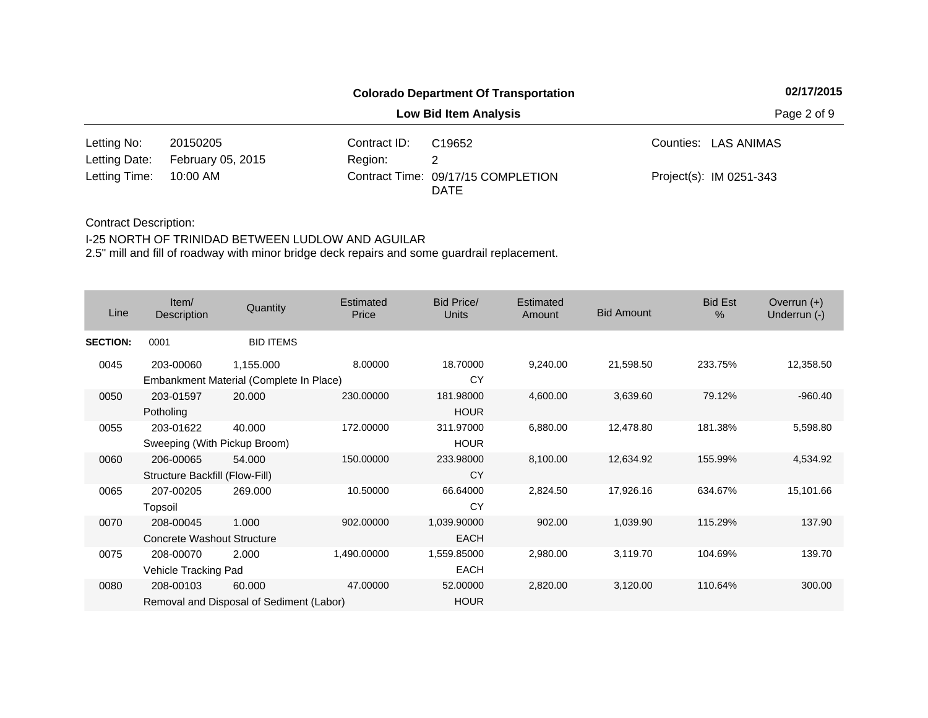|                        |                   |              | <b>Colorado Department Of Transportation</b> | 02/17/2015              |
|------------------------|-------------------|--------------|----------------------------------------------|-------------------------|
|                        |                   |              | <b>Low Bid Item Analysis</b>                 | Page 2 of 9             |
| Letting No:            | 20150205          | Contract ID: | C <sub>19652</sub>                           | Counties: LAS ANIMAS    |
| Letting Date:          | February 05, 2015 | Region:      |                                              |                         |
| Letting Time: 10:00 AM |                   |              | Contract Time: 09/17/15 COMPLETION           | Project(s): IM 0251-343 |

# Contract Description:

## I-25 NORTH OF TRINIDAD BETWEEN LUDLOW AND AGUILAR

| Line            | Item/<br>Description                           | Quantity                                             | Estimated<br>Price | <b>Bid Price/</b><br><b>Units</b> | Estimated<br>Amount | <b>Bid Amount</b> | <b>Bid Est</b><br>% | Overrun $(+)$<br>Underrun (-) |
|-----------------|------------------------------------------------|------------------------------------------------------|--------------------|-----------------------------------|---------------------|-------------------|---------------------|-------------------------------|
| <b>SECTION:</b> | 0001                                           | <b>BID ITEMS</b>                                     |                    |                                   |                     |                   |                     |                               |
| 0045            | 203-00060                                      | 1,155.000<br>Embankment Material (Complete In Place) | 8.00000            | 18.70000<br>CY                    | 9,240.00            | 21,598.50         | 233.75%             | 12,358.50                     |
| 0050            | 203-01597<br>Potholing                         | 20.000                                               | 230.00000          | 181.98000<br><b>HOUR</b>          | 4,600.00            | 3,639.60          | 79.12%              | $-960.40$                     |
| 0055            | 203-01622<br>Sweeping (With Pickup Broom)      | 40.000                                               | 172.00000          | 311.97000<br><b>HOUR</b>          | 6,880.00            | 12,478.80         | 181.38%             | 5,598.80                      |
| 0060            | 206-00065<br>Structure Backfill (Flow-Fill)    | 54.000                                               | 150.00000          | 233.98000<br>CY                   | 8,100.00            | 12,634.92         | 155.99%             | 4,534.92                      |
| 0065            | 207-00205<br>Topsoil                           | 269.000                                              | 10.50000           | 66.64000<br>CY                    | 2,824.50            | 17,926.16         | 634.67%             | 15,101.66                     |
| 0070            | 208-00045<br><b>Concrete Washout Structure</b> | 1.000                                                | 902.00000          | 1,039.90000<br><b>EACH</b>        | 902.00              | 1,039.90          | 115.29%             | 137.90                        |
| 0075            | 208-00070<br>Vehicle Tracking Pad              | 2.000                                                | 1,490.00000        | 1,559.85000<br><b>EACH</b>        | 2,980.00            | 3,119.70          | 104.69%             | 139.70                        |
| 0080            | 208-00103                                      | 60.000<br>Removal and Disposal of Sediment (Labor)   | 47.00000           | 52.00000<br><b>HOUR</b>           | 2,820.00            | 3,120.00          | 110.64%             | 300.00                        |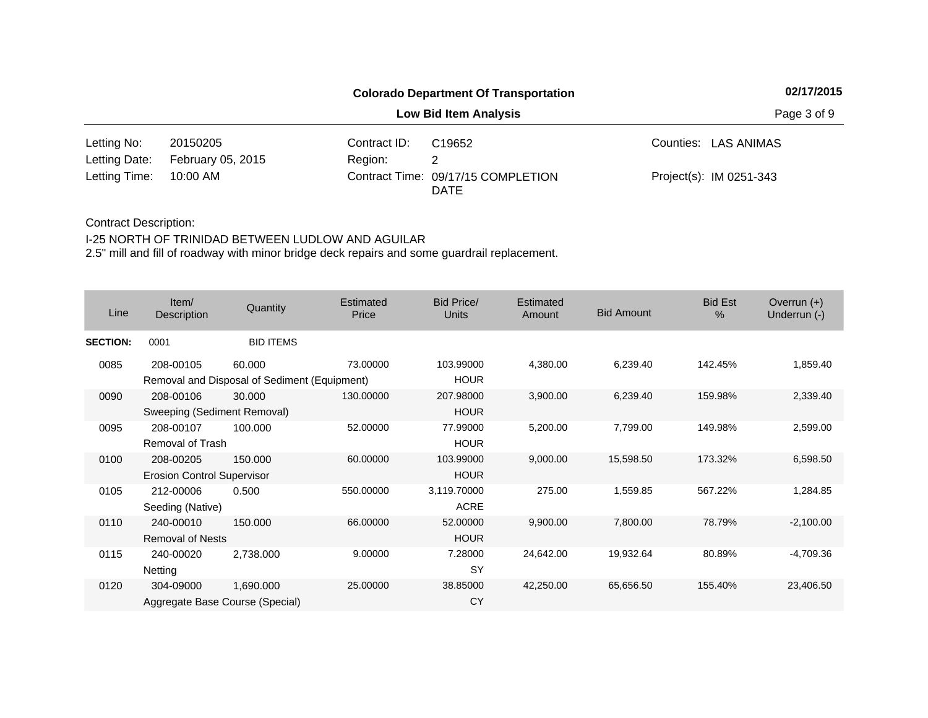|                        |                   | <b>Colorado Department Of Transportation</b> | 02/17/2015                         |                         |  |
|------------------------|-------------------|----------------------------------------------|------------------------------------|-------------------------|--|
|                        |                   |                                              | <b>Low Bid Item Analysis</b>       | Page 3 of 9             |  |
| Letting No:            | 20150205          | Contract ID:                                 | C <sub>19652</sub>                 | Counties: LAS ANIMAS    |  |
| Letting Date:          | February 05, 2015 | Region:                                      |                                    |                         |  |
| Letting Time: 10:00 AM |                   |                                              | Contract Time: 09/17/15 COMPLETION | Project(s): IM 0251-343 |  |

## Contract Description:

### I-25 NORTH OF TRINIDAD BETWEEN LUDLOW AND AGUILAR

| Line            | Item/<br>Description                           | Quantity                                               | Estimated<br>Price | <b>Bid Price/</b><br><b>Units</b> | <b>Estimated</b><br><b>Amount</b> | <b>Bid Amount</b> | <b>Bid Est</b><br>$\%$ | Overrun $(+)$<br>Underrun (-) |
|-----------------|------------------------------------------------|--------------------------------------------------------|--------------------|-----------------------------------|-----------------------------------|-------------------|------------------------|-------------------------------|
| <b>SECTION:</b> | 0001                                           | <b>BID ITEMS</b>                                       |                    |                                   |                                   |                   |                        |                               |
| 0085            | 208-00105                                      | 60.000<br>Removal and Disposal of Sediment (Equipment) | 73.00000           | 103.99000<br><b>HOUR</b>          | 4,380.00                          | 6,239.40          | 142.45%                | 1,859.40                      |
| 0090            | 208-00106<br>Sweeping (Sediment Removal)       | 30.000                                                 | 130.00000          | 207.98000<br><b>HOUR</b>          | 3,900.00                          | 6,239.40          | 159.98%                | 2,339.40                      |
| 0095            | 208-00107<br>Removal of Trash                  | 100.000                                                | 52.00000           | 77.99000<br><b>HOUR</b>           | 5,200.00                          | 7,799.00          | 149.98%                | 2,599.00                      |
| 0100            | 208-00205<br><b>Erosion Control Supervisor</b> | 150.000                                                | 60.00000           | 103.99000<br><b>HOUR</b>          | 9,000.00                          | 15,598.50         | 173.32%                | 6,598.50                      |
| 0105            | 212-00006<br>Seeding (Native)                  | 0.500                                                  | 550.00000          | 3,119.70000<br><b>ACRE</b>        | 275.00                            | 1,559.85          | 567.22%                | 1,284.85                      |
| 0110            | 240-00010<br><b>Removal of Nests</b>           | 150,000                                                | 66.00000           | 52.00000<br><b>HOUR</b>           | 9,900.00                          | 7,800.00          | 78.79%                 | $-2,100.00$                   |
| 0115            | 240-00020<br>Netting                           | 2,738.000                                              | 9.00000            | 7.28000<br><b>SY</b>              | 24,642.00                         | 19,932.64         | 80.89%                 | $-4,709.36$                   |
| 0120            | 304-09000<br>Aggregate Base Course (Special)   | 1,690.000                                              | 25.00000           | 38.85000<br>CY                    | 42,250.00                         | 65,656.50         | 155.40%                | 23,406.50                     |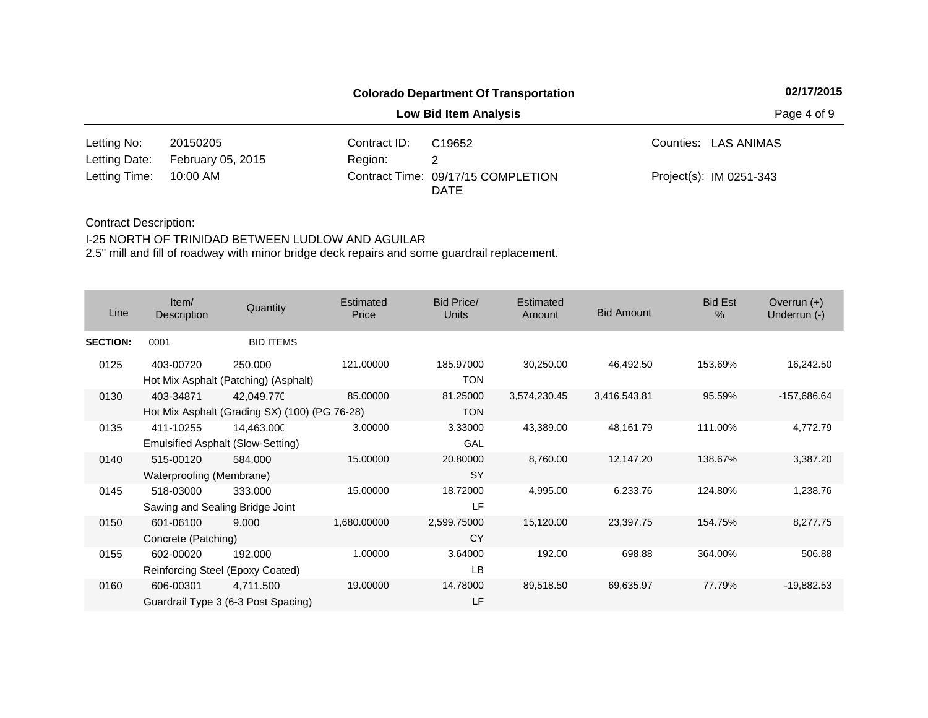|                        |                   | <b>Colorado Department Of Transportation</b> | 02/17/2015                         |                         |  |
|------------------------|-------------------|----------------------------------------------|------------------------------------|-------------------------|--|
|                        |                   |                                              | <b>Low Bid Item Analysis</b>       | Page 4 of 9             |  |
| Letting No:            | 20150205          | Contract ID:                                 | C <sub>19652</sub>                 | Counties: LAS ANIMAS    |  |
| Letting Date:          | February 05, 2015 | Region:                                      |                                    |                         |  |
| Letting Time: 10:00 AM |                   |                                              | Contract Time: 09/17/15 COMPLETION | Project(s): IM 0251-343 |  |

### Contract Description:

### I-25 NORTH OF TRINIDAD BETWEEN LUDLOW AND AGUILAR

| Line            | Item/<br>Description                         | Quantity                                                    | Estimated<br>Price | Bid Price/<br>Units      | Estimated<br>Amount | <b>Bid Amount</b> | <b>Bid Est</b><br>$\%$ | Overrun $(+)$<br>Underrun (-) |
|-----------------|----------------------------------------------|-------------------------------------------------------------|--------------------|--------------------------|---------------------|-------------------|------------------------|-------------------------------|
| <b>SECTION:</b> | 0001                                         | <b>BID ITEMS</b>                                            |                    |                          |                     |                   |                        |                               |
| 0125            | 403-00720                                    | 250,000<br>Hot Mix Asphalt (Patching) (Asphalt)             | 121.00000          | 185.97000<br><b>TON</b>  | 30,250.00           | 46,492.50         | 153.69%                | 16,242.50                     |
| 0130            | 403-34871                                    | 42,049.770<br>Hot Mix Asphalt (Grading SX) (100) (PG 76-28) | 85.00000           | 81.25000<br><b>TON</b>   | 3,574,230.45        | 3,416,543.81      | 95.59%                 | -157,686.64                   |
| 0135            | 411-10255                                    | 14,463.000<br>Emulsified Asphalt (Slow-Setting)             | 3.00000            | 3.33000<br>GAL           | 43,389.00           | 48,161.79         | 111.00%                | 4,772.79                      |
| 0140            | 515-00120<br>Waterproofing (Membrane)        | 584.000                                                     | 15.00000           | 20.80000<br><b>SY</b>    | 8,760.00            | 12,147.20         | 138.67%                | 3,387.20                      |
| 0145            | 518-03000<br>Sawing and Sealing Bridge Joint | 333.000                                                     | 15.00000           | 18.72000<br>LF           | 4,995.00            | 6,233.76          | 124.80%                | 1,238.76                      |
| 0150            | 601-06100<br>Concrete (Patching)             | 9.000                                                       | 1,680.00000        | 2,599.75000<br><b>CY</b> | 15,120.00           | 23,397.75         | 154.75%                | 8,277.75                      |
| 0155            | 602-00020                                    | 192.000<br>Reinforcing Steel (Epoxy Coated)                 | 1.00000            | 3.64000<br>LB            | 192.00              | 698.88            | 364.00%                | 506.88                        |
| 0160            | 606-00301                                    | 4,711.500<br>Guardrail Type 3 (6-3 Post Spacing)            | 19.00000           | 14.78000<br>LF           | 89,518.50           | 69,635.97         | 77.79%                 | $-19,882.53$                  |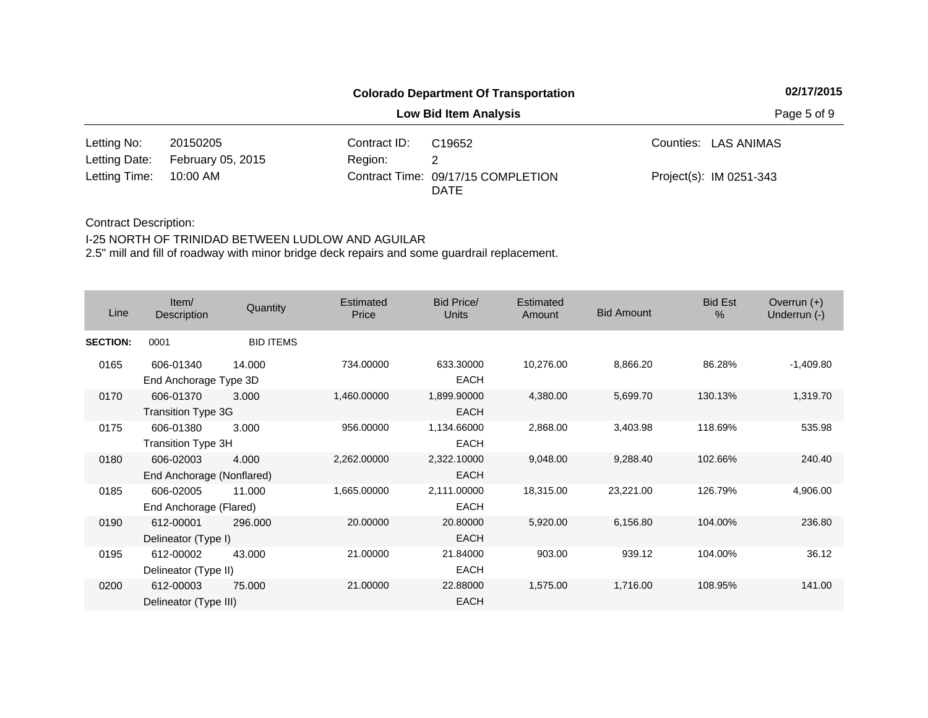|                        |                   | <b>Colorado Department Of Transportation</b> | 02/17/2015                         |                         |  |
|------------------------|-------------------|----------------------------------------------|------------------------------------|-------------------------|--|
|                        |                   |                                              | <b>Low Bid Item Analysis</b>       | Page 5 of 9             |  |
| Letting No:            | 20150205          | Contract ID:                                 | C <sub>19652</sub>                 | Counties: LAS ANIMAS    |  |
| Letting Date:          | February 05, 2015 | Region:                                      |                                    |                         |  |
| Letting Time: 10:00 AM |                   |                                              | Contract Time: 09/17/15 COMPLETION | Project(s): IM 0251-343 |  |

## Contract Description:

## I-25 NORTH OF TRINIDAD BETWEEN LUDLOW AND AGUILAR

| Line            | Item/<br>Description                   | Quantity         | Estimated<br>Price | Bid Price/<br><b>Units</b> | Estimated<br>Amount | <b>Bid Amount</b> | <b>Bid Est</b><br>% | Overrun $(+)$<br>Underrun (-) |
|-----------------|----------------------------------------|------------------|--------------------|----------------------------|---------------------|-------------------|---------------------|-------------------------------|
| <b>SECTION:</b> | 0001                                   | <b>BID ITEMS</b> |                    |                            |                     |                   |                     |                               |
| 0165            | 606-01340<br>End Anchorage Type 3D     | 14.000           | 734.00000          | 633.30000<br><b>EACH</b>   | 10,276.00           | 8,866.20          | 86.28%              | $-1,409.80$                   |
| 0170            | 606-01370<br>Transition Type 3G        | 3.000            | 1,460.00000        | 1,899.90000<br><b>EACH</b> | 4,380.00            | 5,699.70          | 130.13%             | 1,319.70                      |
| 0175            | 606-01380<br><b>Transition Type 3H</b> | 3.000            | 956.00000          | 1,134.66000<br><b>EACH</b> | 2,868.00            | 3,403.98          | 118.69%             | 535.98                        |
| 0180            | 606-02003<br>End Anchorage (Nonflared) | 4.000            | 2,262.00000        | 2,322.10000<br><b>EACH</b> | 9,048.00            | 9,288.40          | 102.66%             | 240.40                        |
| 0185            | 606-02005<br>End Anchorage (Flared)    | 11.000           | 1,665.00000        | 2,111.00000<br><b>EACH</b> | 18,315.00           | 23,221.00         | 126.79%             | 4,906.00                      |
| 0190            | 612-00001<br>Delineator (Type I)       | 296,000          | 20.00000           | 20.80000<br><b>EACH</b>    | 5,920.00            | 6,156.80          | 104.00%             | 236.80                        |
| 0195            | 612-00002<br>Delineator (Type II)      | 43.000           | 21.00000           | 21.84000<br><b>EACH</b>    | 903.00              | 939.12            | 104.00%             | 36.12                         |
| 0200            | 612-00003<br>Delineator (Type III)     | 75.000           | 21.00000           | 22.88000<br><b>EACH</b>    | 1,575.00            | 1,716.00          | 108.95%             | 141.00                        |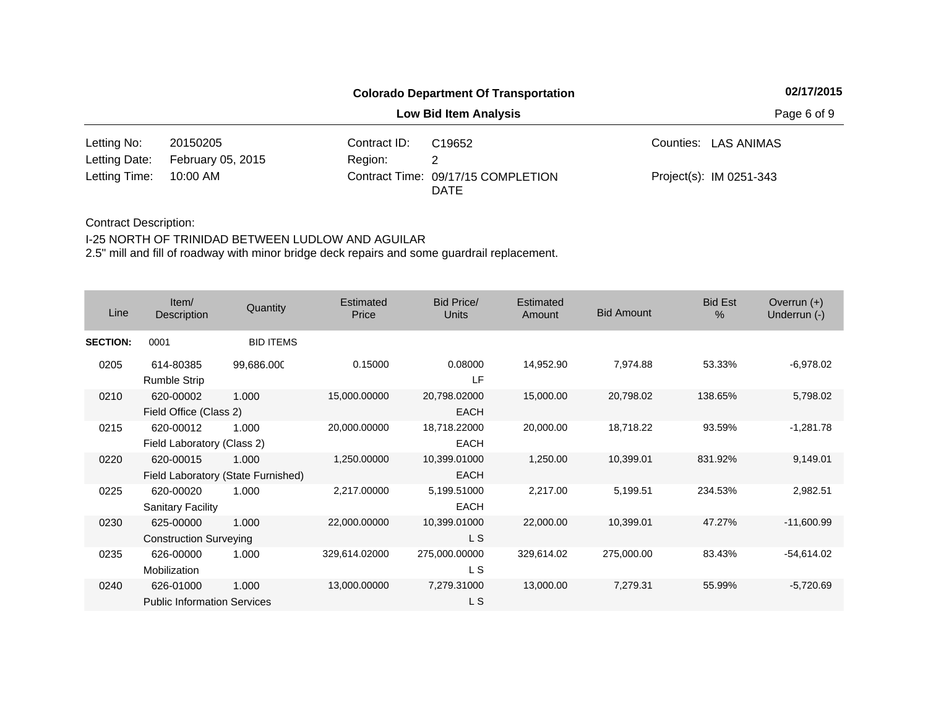|                        |                   | <b>Colorado Department Of Transportation</b> | 02/17/2015                         |                         |  |
|------------------------|-------------------|----------------------------------------------|------------------------------------|-------------------------|--|
|                        |                   |                                              | <b>Low Bid Item Analysis</b>       | Page 6 of 9             |  |
| Letting No:            | 20150205          | Contract ID:                                 | C <sub>19652</sub>                 | Counties: LAS ANIMAS    |  |
| Letting Date:          | February 05, 2015 | Region:                                      |                                    |                         |  |
| Letting Time: 10:00 AM |                   |                                              | Contract Time: 09/17/15 COMPLETION | Project(s): IM 0251-343 |  |

Contract Description:

I-25 NORTH OF TRINIDAD BETWEEN LUDLOW AND AGUILAR

| Line            | Item/<br><b>Description</b>                     | Quantity                                    | Estimated<br>Price | <b>Bid Price/</b><br>Units  | <b>Estimated</b><br>Amount | <b>Bid Amount</b> | <b>Bid Est</b><br>% | Overrun $(+)$<br>Underrun (-) |
|-----------------|-------------------------------------------------|---------------------------------------------|--------------------|-----------------------------|----------------------------|-------------------|---------------------|-------------------------------|
| <b>SECTION:</b> | 0001                                            | <b>BID ITEMS</b>                            |                    |                             |                            |                   |                     |                               |
| 0205            | 614-80385<br><b>Rumble Strip</b>                | 99,686.000                                  | 0.15000            | 0.08000<br>LF               | 14,952.90                  | 7,974.88          | 53.33%              | $-6.978.02$                   |
| 0210            | 620-00002<br>Field Office (Class 2)             | 1.000                                       | 15,000.00000       | 20,798.02000<br><b>EACH</b> | 15,000.00                  | 20,798.02         | 138.65%             | 5,798.02                      |
| 0215            | 620-00012<br>Field Laboratory (Class 2)         | 1.000                                       | 20,000.00000       | 18,718.22000<br><b>EACH</b> | 20,000.00                  | 18,718.22         | 93.59%              | $-1,281.78$                   |
| 0220            | 620-00015                                       | 1.000<br>Field Laboratory (State Furnished) | 1,250.00000        | 10,399.01000<br><b>EACH</b> | 1,250.00                   | 10,399.01         | 831.92%             | 9,149.01                      |
| 0225            | 620-00020<br><b>Sanitary Facility</b>           | 1.000                                       | 2,217.00000        | 5,199.51000<br><b>EACH</b>  | 2,217.00                   | 5,199.51          | 234.53%             | 2,982.51                      |
| 0230            | 625-00000<br><b>Construction Surveying</b>      | 1.000                                       | 22,000.00000       | 10,399.01000<br>L S         | 22,000.00                  | 10,399.01         | 47.27%              | $-11,600.99$                  |
| 0235            | 626-00000<br>Mobilization                       | 1.000                                       | 329,614.02000      | 275,000.00000<br>L S        | 329,614.02                 | 275,000.00        | 83.43%              | $-54,614.02$                  |
| 0240            | 626-01000<br><b>Public Information Services</b> | 1.000                                       | 13,000.00000       | 7,279.31000<br>L S          | 13,000.00                  | 7,279.31          | 55.99%              | $-5,720.69$                   |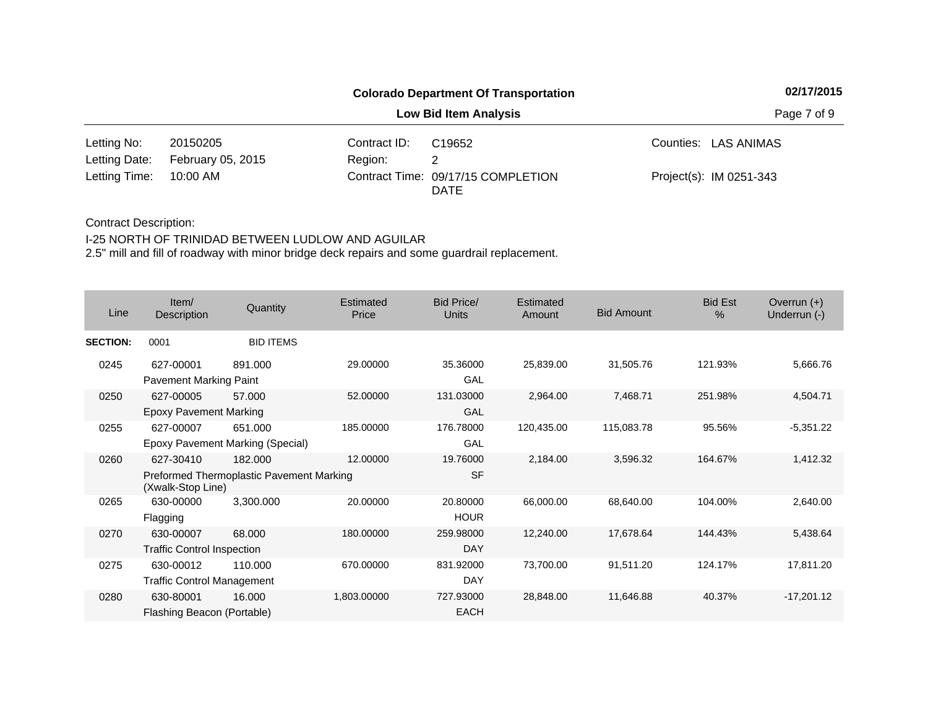|                        |                   | <b>Colorado Department Of Transportation</b> | 02/17/2015                         |                         |  |
|------------------------|-------------------|----------------------------------------------|------------------------------------|-------------------------|--|
|                        |                   |                                              | <b>Low Bid Item Analysis</b>       | Page 7 of 9             |  |
| Letting No:            | 20150205          | Contract ID:                                 | C <sub>19652</sub>                 | Counties: LAS ANIMAS    |  |
| Letting Date:          | February 05, 2015 | Region:                                      |                                    |                         |  |
| Letting Time: 10:00 AM |                   |                                              | Contract Time: 09/17/15 COMPLETION | Project(s): IM 0251-343 |  |

### Contract Description:

### I-25 NORTH OF TRINIDAD BETWEEN LUDLOW AND AGUILAR

| Line            | Item/<br>Description                           | Quantity                                            | Estimated<br>Price | <b>Bid Price/</b><br><b>Units</b> | Estimated<br>Amount | <b>Bid Amount</b> | <b>Bid Est</b><br>$\%$ | Overrun $(+)$<br>Underrun (-) |
|-----------------|------------------------------------------------|-----------------------------------------------------|--------------------|-----------------------------------|---------------------|-------------------|------------------------|-------------------------------|
| <b>SECTION:</b> | 0001                                           | <b>BID ITEMS</b>                                    |                    |                                   |                     |                   |                        |                               |
| 0245            | 627-00001<br>Pavement Marking Paint            | 891.000                                             | 29.00000           | 35.36000<br>GAL                   | 25,839.00           | 31,505.76         | 121.93%                | 5,666.76                      |
| 0250            | 627-00005<br><b>Epoxy Pavement Marking</b>     | 57.000                                              | 52.00000           | 131.03000<br>GAL                  | 2,964.00            | 7,468.71          | 251.98%                | 4,504.71                      |
| 0255            | 627-00007                                      | 651.000<br>Epoxy Pavement Marking (Special)         | 185.00000          | 176.78000<br>GAL                  | 120,435.00          | 115,083.78        | 95.56%                 | $-5,351.22$                   |
| 0260            | 627-30410<br>(Xwalk-Stop Line)                 | 182.000<br>Preformed Thermoplastic Pavement Marking | 12.00000           | 19.76000<br><b>SF</b>             | 2,184.00            | 3,596.32          | 164.67%                | 1,412.32                      |
| 0265            | 630-00000<br>Flagging                          | 3,300.000                                           | 20.00000           | 20.80000<br><b>HOUR</b>           | 66,000.00           | 68,640.00         | 104.00%                | 2,640.00                      |
| 0270            | 630-00007<br><b>Traffic Control Inspection</b> | 68.000                                              | 180.00000          | 259.98000<br>DAY                  | 12,240.00           | 17,678.64         | 144.43%                | 5,438.64                      |
| 0275            | 630-00012<br><b>Traffic Control Management</b> | 110.000                                             | 670.00000          | 831.92000<br>DAY                  | 73,700.00           | 91,511.20         | 124.17%                | 17,811.20                     |
| 0280            | 630-80001<br>Flashing Beacon (Portable)        | 16.000                                              | 1,803.00000        | 727.93000<br><b>EACH</b>          | 28,848.00           | 11,646.88         | 40.37%                 | $-17,201.12$                  |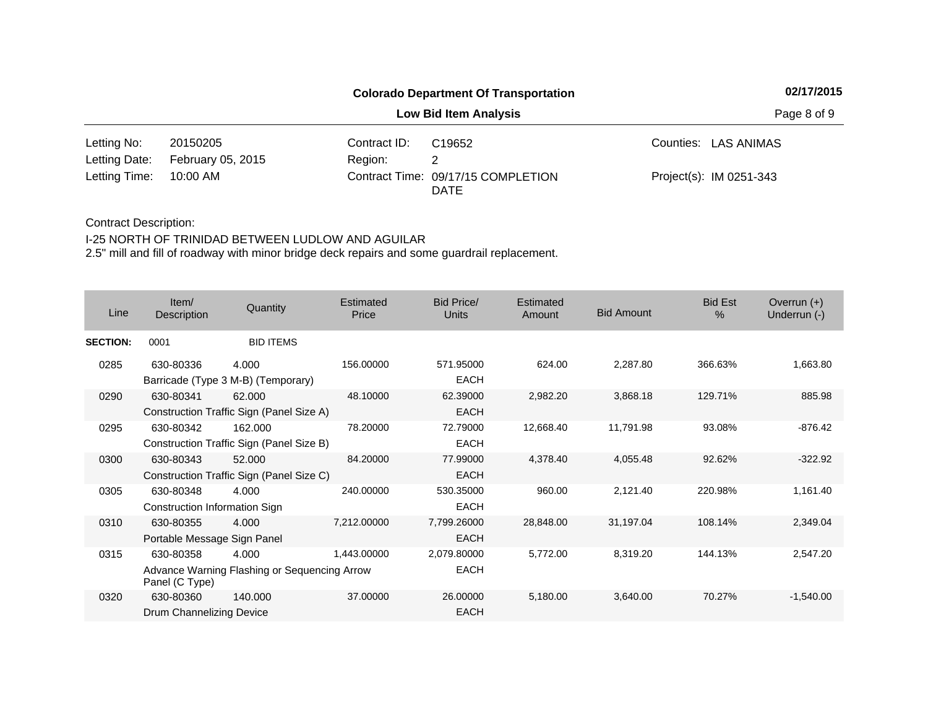|                        |                   | <b>Colorado Department Of Transportation</b> | 02/17/2015                         |                         |  |
|------------------------|-------------------|----------------------------------------------|------------------------------------|-------------------------|--|
|                        |                   |                                              | <b>Low Bid Item Analysis</b>       | Page 8 of 9             |  |
| Letting No:            | 20150205          | Contract ID:                                 | C <sub>19652</sub>                 | Counties: LAS ANIMAS    |  |
| Letting Date:          | February 05, 2015 | Region:                                      |                                    |                         |  |
| Letting Time: 10:00 AM |                   |                                              | Contract Time: 09/17/15 COMPLETION | Project(s): IM 0251-343 |  |

Contract Description:

I-25 NORTH OF TRINIDAD BETWEEN LUDLOW AND AGUILAR

| Line            | Item/<br>Description                       | Quantity                                              | Estimated<br>Price | <b>Bid Price/</b><br>Units | <b>Estimated</b><br>Amount | <b>Bid Amount</b> | <b>Bid Est</b><br>% | Overrun $(+)$<br>Underrun (-) |
|-----------------|--------------------------------------------|-------------------------------------------------------|--------------------|----------------------------|----------------------------|-------------------|---------------------|-------------------------------|
| <b>SECTION:</b> | 0001                                       | <b>BID ITEMS</b>                                      |                    |                            |                            |                   |                     |                               |
| 0285            | 630-80336                                  | 4.000<br>Barricade (Type 3 M-B) (Temporary)           | 156.00000          | 571.95000<br><b>EACH</b>   | 624.00                     | 2,287.80          | 366.63%             | 1,663.80                      |
| 0290            | 630-80341                                  | 62.000<br>Construction Traffic Sign (Panel Size A)    | 48.10000           | 62.39000<br><b>EACH</b>    | 2,982.20                   | 3,868.18          | 129.71%             | 885.98                        |
| 0295            | 630-80342                                  | 162.000<br>Construction Traffic Sign (Panel Size B)   | 78.20000           | 72.79000<br><b>EACH</b>    | 12,668.40                  | 11,791.98         | 93.08%              | $-876.42$                     |
| 0300            | 630-80343                                  | 52.000<br>Construction Traffic Sign (Panel Size C)    | 84.20000           | 77.99000<br><b>EACH</b>    | 4,378.40                   | 4,055.48          | 92.62%              | $-322.92$                     |
| 0305            | 630-80348<br>Construction Information Sign | 4.000                                                 | 240.00000          | 530.35000<br><b>EACH</b>   | 960.00                     | 2,121.40          | 220.98%             | 1,161.40                      |
| 0310            | 630-80355<br>Portable Message Sign Panel   | 4.000                                                 | 7,212.00000        | 7,799.26000<br><b>EACH</b> | 28,848.00                  | 31,197.04         | 108.14%             | 2,349.04                      |
| 0315            | 630-80358<br>Panel (C Type)                | 4.000<br>Advance Warning Flashing or Sequencing Arrow | 1,443.00000        | 2,079.80000<br><b>EACH</b> | 5,772.00                   | 8,319.20          | 144.13%             | 2,547.20                      |
| 0320            | 630-80360<br>Drum Channelizing Device      | 140,000                                               | 37.00000           | 26.00000<br><b>EACH</b>    | 5,180.00                   | 3,640.00          | 70.27%              | $-1,540.00$                   |